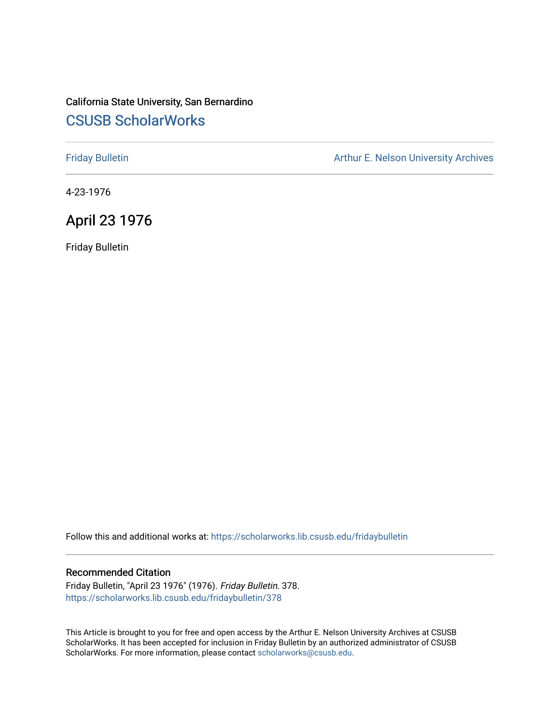### California State University, San Bernardino [CSUSB ScholarWorks](https://scholarworks.lib.csusb.edu/)

[Friday Bulletin](https://scholarworks.lib.csusb.edu/fridaybulletin) **Arthur E. Nelson University Archives** Arthur E. Nelson University Archives

4-23-1976

## April 23 1976

Friday Bulletin

Follow this and additional works at: [https://scholarworks.lib.csusb.edu/fridaybulletin](https://scholarworks.lib.csusb.edu/fridaybulletin?utm_source=scholarworks.lib.csusb.edu%2Ffridaybulletin%2F378&utm_medium=PDF&utm_campaign=PDFCoverPages)

### Recommended Citation

Friday Bulletin, "April 23 1976" (1976). Friday Bulletin. 378. [https://scholarworks.lib.csusb.edu/fridaybulletin/378](https://scholarworks.lib.csusb.edu/fridaybulletin/378?utm_source=scholarworks.lib.csusb.edu%2Ffridaybulletin%2F378&utm_medium=PDF&utm_campaign=PDFCoverPages)

This Article is brought to you for free and open access by the Arthur E. Nelson University Archives at CSUSB ScholarWorks. It has been accepted for inclusion in Friday Bulletin by an authorized administrator of CSUSB ScholarWorks. For more information, please contact [scholarworks@csusb.edu.](mailto:scholarworks@csusb.edu)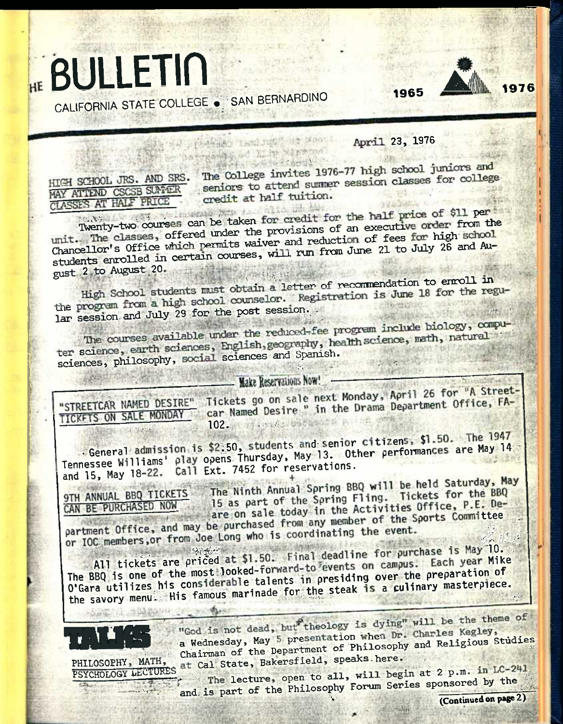# HE BULLETIN CALIFORNIA STATE COLLEGE . SAN BERNARDINO

1965



April 23, 1976

HIGH SCHOOL JRS. AND SRS. MAY ATTEND CSCSB SUNTER CLASSES AT HALF PRICE

The College invites 1976-77 high school juniors and seniors to attend summer session classes for college credit at half tuition.

Twenty-two courses can be taken for credit for the half price of \$11 per unit. The classes, offered under the provisions of an executive order from the Chancellor's Office which permits waiver and reduction of fees for high school students enrolled in certain courses, will run from June 21 to July 26 and Australian gust 2 to August 20.

tand this run and the

High School students must obtain a letter of recommendation to enroll in the program from a high school counselor. Registration is June 18 for the regular session and July 29 for the post session.

The courses available under the reduced-fee program include biology, computer science, earth sciences, English, geography, health science, math, natural sciences, philosophy, social sciences and Spanish.

### Make Reservations Now!

"STREETCAR NAMED DESIRE" TICKETS ON SALE MONDAY

Tickets go on sale next Monday, April 26 for "A Streetcar Named Desire " in the Drama Department Office, FA-

. General admission is \$2.50, students and senior citizens, \$1.50. The 1947 Tennessee Williams' play opens Thursday, May 13. Other performances are May 14 and 15, May 18-22. Call Ext. 7452 for reservations.

The Ninth Annual Spring BBQ will be held Saturday, May **9TH ANNUAL BBQ TICKETS** 15 as part of the Spring Fling. Tickets for the BBQ are on sale today in the Activities Office, P.E. De-CAN BE PURCHASED NOW partment Office, and may be purchased from any member of the Sports Committee

or IOC members, or from Joe Long who is coordinating the event.

All tickets are priced at \$1.50. Final deadline for purchase is May 10. The BBQ is one of the most looked-forward-to events on campus. Each year Mike O'Gara utilizes his considerable talents in presiding over the preparation of the savory menu. His famous marinade for the steak is a culinary masterpiece.

"God is not dead, but theology is dying" will be the theme of a Wednesday, May 5 presentation when Dr. Charles Kegley, Chairman of the Department of Philosophy and Religious Studies PSYCHOLOGY LECTURES at Cal State, Bakersfield, speaks here.

The lecture, open to all, will begin at 2 p.m. in LC-241 and is part of the Philosophy Forum Series sponsored by the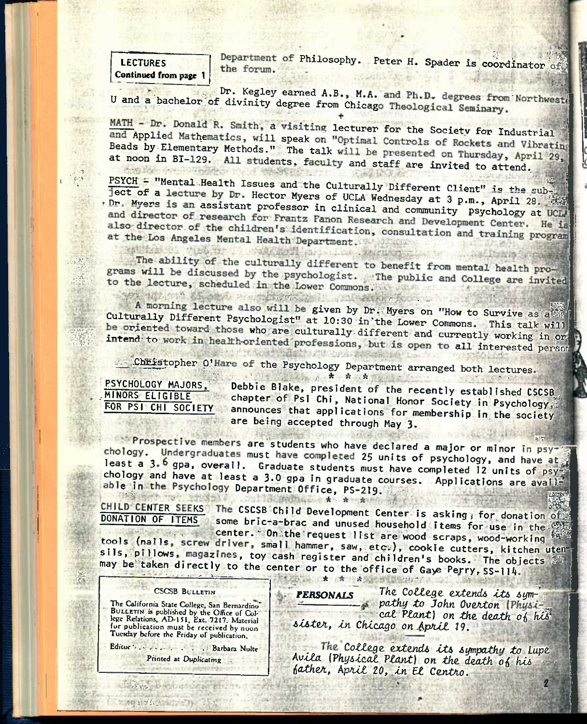**LECTURES Continued from page 1** 

Department of Philosophy. Peter H. Spader is coordinator of the forum.

Dr. Kegley earned A.B., M.A. and Ph.D. degrees from Northweste U and a bachelor of divinity degree from Chicago Theological Seminary.

MATH - Dr. Donald R. Smith, a visiting lecturer for the Society for Industrial and Applied Mathematics, will speak on "Optimal Controls of Rockets and Vibrating Beads by Elementary Methods." The talk will be presented on Thursday, April 29, at noon in BI-129. All students, faculty and staff are invited to attend.

PSYCH = "Mental Health Issues and the Culturally Different Client" is the subject of a lecture by Dr. Hector Myers of UCLA Wednesday at 3 p.m., April 28. . Dr. Myers is an assistant professor in clinical and community psychology at UCLA and director of research for Frantz Fanon Research and Development Center. He is also director of the children's identification, consultation and training program at the Los Angeles Mental Health Department.

The ability of the culturally different to benefit from mental health programs will be discussed by the psychologist. The public and College are invited to the lecture, scheduled in the Lower Commons.

 $\mathcal{L}_{\mathcal{B}} = \mathcal{L}_{\mathcal{B}} = \mathcal{L}_{\mathcal{B}} = \mathcal{L}_{\mathcal{B}} = \mathcal{L}_{\mathcal{B}} = \mathcal{L}_{\mathcal{B}} = \mathcal{L}_{\mathcal{B}}$ SOLLAR MOP A morning lecture also will be given by Dr. Myers on "How to Survive as a Culturally Different Psychologist" at 10:30 in the Lower Commons. This talk will be oriented toward those who are culturally different and currently working in or intend to work in health-oriented professions, but is open to all interested person

SCHOOLS COLLEGE

Christopher O'Hare of the Psychology Department arranged both lectures.

PSYCHOLOGY MAJORS. MINORS ELIGIBLE **FOR PSI CHI SOCIETY** 

安全的经济方法 "但是 计图书记 计

Debbie Blake, president of the recently established CSCSB chapter of Psi Chi, National Honor Society in Psychology, announces that applications for membership in the society are being accepted through May 3.

Prospective members are students who have declared a major or minor in psychology. Undergraduates must have completed 25 units of psychology, and have at least a 3.6 gpa, overall. Graduate students must have completed 12 units of psy chology and have at least a 3.0 gpa in graduate courses. Applications are available in the Psychology Department Office, PS-219.

CHILD CENTER SEEKS The CSCSB Child Development Center is asking, for donation of DONATION OF ITEMS some bric-a-brac and unused household items for use in the center. On the request list are wood scraps, wood-working tools (nails, screw driver, small hammer, saw, etc.), cookie cutters, kitchen uten sils, pillows, magazines, toy cash register and children's books. The objects may be taken directly to the center or to the office of Gaye Perry, SS-114.

LE ITY AT EXAMPLE

#### **CSCSB BULLETIN**

The California State College, San Bernardino BULLETIN is published by the Office of College Relations, AD-151, Ext. 7217. Material for publication must be received by noon Tuesday before the Friday of publication.

Editor \* . . . . . . . . . . . . Barbara Nolte Printed at Duplicating

2341195

The College extends its sym-**PERSONALS** s pathy to John Overton (Physical Plant) on the death of his sister, in Chicago on April 19.

The College extends its sympathy to Lupe Avila (Physical Plant) on the death of his father, April 20, in El Centro.

 $\mathbf{2}$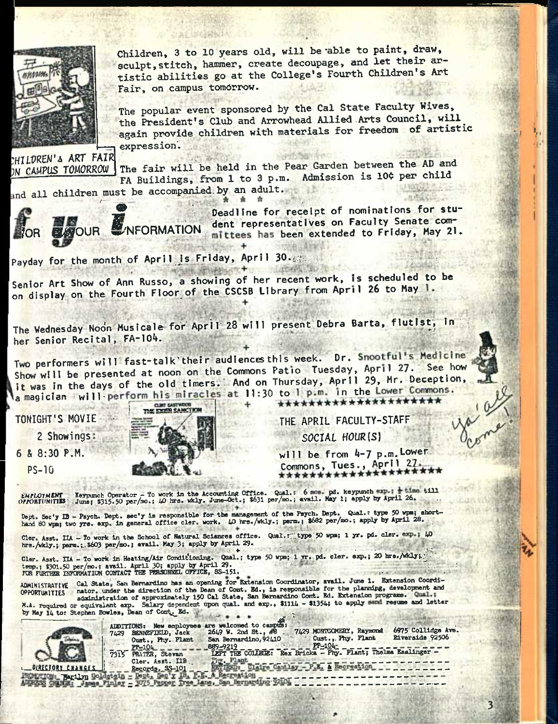

Children, 3 to 10 years old, will be able to paint, draw, sculpt, stitch, hammer, create decoupage, and let their artistic abilities go at the College's Fourth Children's Art Fair, on campus tomorrow.

The popular event sponsored by the Cal State Faculty Wives, the President's Club and Arrowhead Allied Arts Council, will again provide children with materials for freedom of artistic expression.

^HllfREN'A ART FAIR ON CAMPUS TOMORROW The fair will be held in the Pear Garden between the AD and The fair will be neid in the rear darden Becked. The movie of the real part of the real part of the Pauli Pauli Pauli Pauli Pauli Pauli Pauli Pauli Pauli Pauli Pauli Pauli Pauli Pauli Pauli Pauli Pauli Pauli Pauli Pauli Pa expression.<br>
MILDREN's ART FAIR<br>
The fair will be held in the Pear Garden between the AD and<br>
FA Buildings, from 1 to 3 p.m. Admission is 10¢ per child<br>
and all children must be accompanied by an adult.

and all children must be accompanied by an adult.



Deadline for receipt of nominations for stu-YOR BOUR WINFORMATION dent representatives on Faculty Senate com-<br>Nor Bould WINFORMATION mittees has been extended to Friday, May 21. *-S 1.* 

3

P<mark>ayday for the month of April is Friday, April 30.63:: a-1</mark>

Senior Art Show of Ann Russo, a showing of her recent work, is scheduled to be on display on the Fourth Floor of the CSCSB Library from April 26 to May 1.

The Wednesday Noon Musicale for April 28 will present Debra Barta, flutist, in her Senior Recital, FA-104.

Two performers will fast-talk'their audiences this week. Dr. Snootful's Medicine Show will be presented at noon on the Commons Patio Tuesday, April 27. See how it was in the days of the old timers.: And on Thursday, April 29, Mr. Deception, a magician = will perform his miracles at 11:30 to 1 p.m. in the Lower Commons.

TONIGHT'S MOVIE

2 Showings

6 & 8:30 P.M.

PS-10



THE APRIL FACULTY-STAFF SOCIAL HOUR(S)

will be from 4-7 p.m. Lower Commons, Tues., April 27

*EMFLOYMENT* Reynunch Operator - To work in the Accounting Office. Qual.: 6 nom. pd. keypunch exp.; + time till OPRORTUNITIES" . Junej \$315.50 per/mo.; iO hrs. wkly. June-Oct.; \$631 per/mo.; «vail. May 1; apply by April 26

Dept. Sec'y IB - Psych. Dept. sec'y is responsible for the management of the Psych. Dept. Qual.: type 50 wpm; short-<br>hand 80 wpm; two yrs. exp. in general office cler. work. 40 hrs./wkly.; perm.; \$682 per/mo.; apply by Apr

nand so what the yrs. exp. In general critic cases cannot return at the second of the second of Hatural Sciences office. Qual.retype'50 wpm; 1 yr. pd. cler. «xp.; 40 Cler. Asst. IIA - To work in the School of Matural Sciences of their. Space of the intervalse of the contract of the contract of the sense of the sense of the contract of the sense of the sense of the sense of the sense of

Cler. Asst. IIA - To work in Heating/Air Conditioning. Qual.; type 50 wpm; 1 w. pd. cler. exp.; 20 hre./wkly;.^. ,<br>temp.; \$301.50 per/mo.; avail. April 30; apply by April 29. hrs./wkly.; parm.; \$603 per/mo.; avail. May 3; apply by April 29.<br>Cler. Asst. IIA - To work in Heating/Air Conditioning. Qual.; type 50 wpm; 1 vr. pd. cler. axp.; 20 hrs./wkly;<br>temp.; \$301.50 per/mo.; avail. April 29. appl

ADMINISTRATIVE Cal State, San Bernardino has an opening for Extension Coordinator, avail. June 1. Extension Coordinator, 2011 and 2011 and the direction of the Dean of Cont. Ed., is responsible for the planning, developmen

M.A. required or equivalent exp. Salary dependent upon qual. and exp., \$1114 - \$1354; to apply send resume and letter by May 14 to: Stephen Bowles, Dean of Cont. Ed.



|                           | by may 14 to: Stephen Bowles, Dean of Comp. Bu.                                                                                                                                                                                                                                                                                                                                                                                     |  |
|---------------------------|-------------------------------------------------------------------------------------------------------------------------------------------------------------------------------------------------------------------------------------------------------------------------------------------------------------------------------------------------------------------------------------------------------------------------------------|--|
|                           | ADDITIONS: New employees are welcomed to campus:<br>6975 Collidge Ave.<br>7429 MONTGOMERY, Raymond<br>$26L9$ W. 2nd St., $48$<br><b>BENNEFIELD, Jack</b><br>7429<br>Riverside 92506<br>Cust., Phy. Plant<br>San Bernardino, 92410<br>Cust., Phy. Plant<br><b>PP-104-</b><br>889-9219<br>$PP-10L$<br>LEFT THE COLLEGE: Rex Bricks - Phy. Plant; Thelma Esslinger -<br><b>PRATER.</b> Stevan<br>7315<br>Frw. Plant<br>Cler. Asst. IIB |  |
| <b>LOIRECTORY CHANGES</b> | RETIRED: Claire Cantlay - P.E. & Recreation<br>Records, SS-101                                                                                                                                                                                                                                                                                                                                                                      |  |
| FORTION: Narilyn Gold     | stein - Dept. Sec'y IB, P.E. & Recreation                                                                                                                                                                                                                                                                                                                                                                                           |  |
| ADDRESS CHAIRE: James Fin | 3075 Pepper Tree Lane. San Bernardino 92101                                                                                                                                                                                                                                                                                                                                                                                         |  |